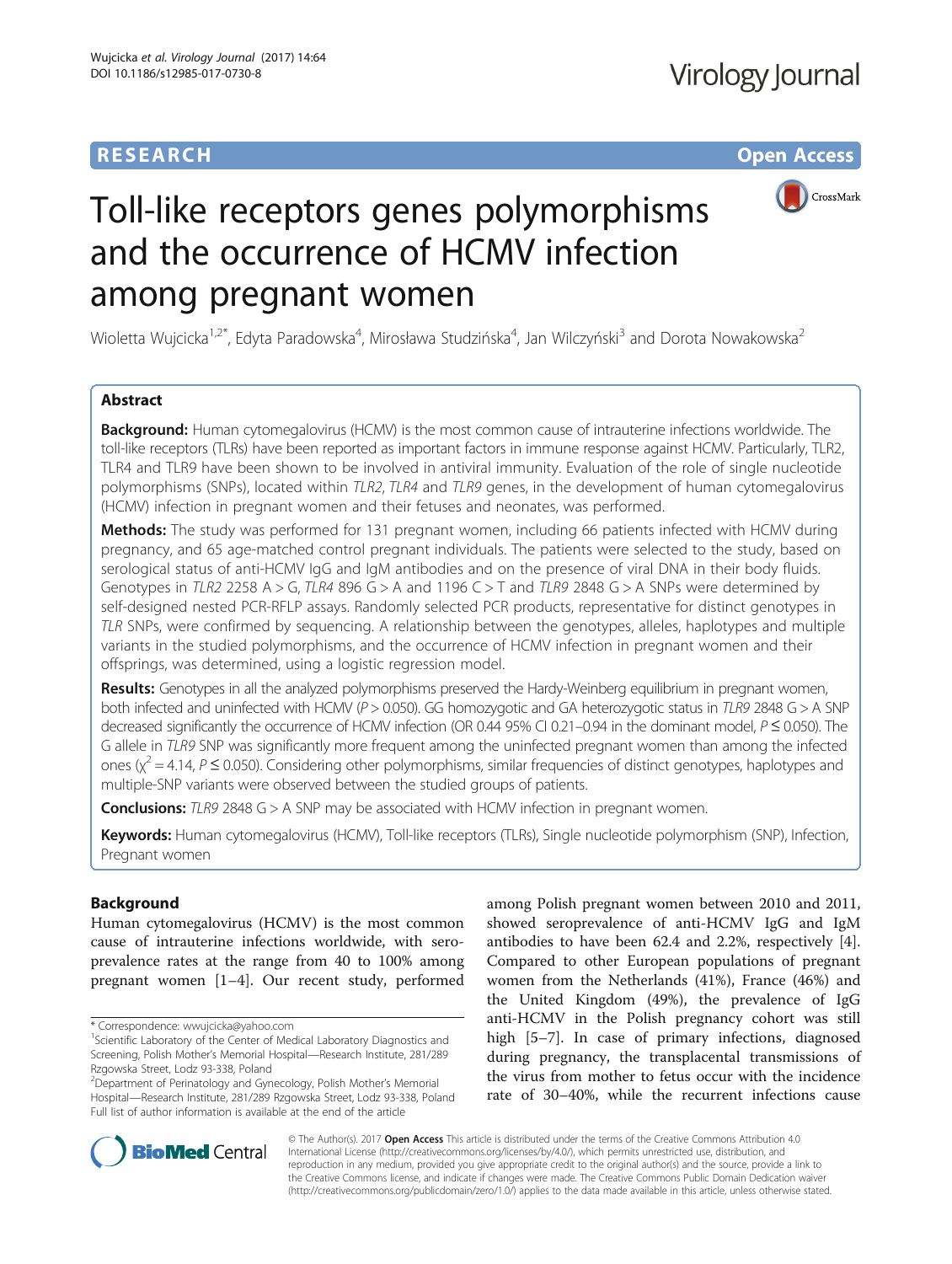# **RESEARCH CHE Open Access**



# Toll-like receptors genes polymorphisms and the occurrence of HCMV infection among pregnant women

Wioletta Wujcicka<sup>1,2\*</sup>, Edyta Paradowska<sup>4</sup>, Mirosława Studzińska<sup>4</sup>, Jan Wilczyński<sup>3</sup> and Dorota Nowakowska<sup>2</sup>

# Abstract

Background: Human cytomegalovirus (HCMV) is the most common cause of intrauterine infections worldwide. The toll-like receptors (TLRs) have been reported as important factors in immune response against HCMV. Particularly, TLR2, TLR4 and TLR9 have been shown to be involved in antiviral immunity. Evaluation of the role of single nucleotide polymorphisms (SNPs), located within TLR2, TLR4 and TLR9 genes, in the development of human cytomegalovirus (HCMV) infection in pregnant women and their fetuses and neonates, was performed.

Methods: The study was performed for 131 pregnant women, including 66 patients infected with HCMV during pregnancy, and 65 age-matched control pregnant individuals. The patients were selected to the study, based on serological status of anti-HCMV IgG and IgM antibodies and on the presence of viral DNA in their body fluids. Genotypes in TLR2 2258  $A > G$ , TLR4 896  $G > A$  and 1196  $C > T$  and TLR9 2848  $G > A$  SNPs were determined by self-designed nested PCR-RFLP assays. Randomly selected PCR products, representative for distinct genotypes in TLR SNPs, were confirmed by sequencing. A relationship between the genotypes, alleles, haplotypes and multiple variants in the studied polymorphisms, and the occurrence of HCMV infection in pregnant women and their offsprings, was determined, using a logistic regression model.

Results: Genotypes in all the analyzed polymorphisms preserved the Hardy-Weinberg equilibrium in pregnant women, both infected and uninfected with HCMV (P > 0.050). GG homozygotic and GA heterozygotic status in TLR9 2848 G > A SNP decreased significantly the occurrence of HCMV infection (OR 0.44 95% CI 0.21–0.94 in the dominant model, P ≤ 0.050). The G allele in TLR9 SNP was significantly more frequent among the uninfected pregnant women than among the infected ones ( $\chi^2$  = 4.14, P  $\leq$  0.050). Considering other polymorphisms, similar frequencies of distinct genotypes, haplotypes and multiple-SNP variants were observed between the studied groups of patients.

**Conclusions:** TLR9 2848 G > A SNP may be associated with HCMV infection in pregnant women.

Keywords: Human cytomegalovirus (HCMV), Toll-like receptors (TLRs), Single nucleotide polymorphism (SNP), Infection, Pregnant women

# Background

Human cytomegalovirus (HCMV) is the most common cause of intrauterine infections worldwide, with seroprevalence rates at the range from 40 to 100% among pregnant women [[1](#page-7-0)–[4](#page-7-0)]. Our recent study, performed

among Polish pregnant women between 2010 and 2011, showed seroprevalence of anti-HCMV IgG and IgM antibodies to have been 62.4 and 2.2%, respectively [\[4](#page-7-0)]. Compared to other European populations of pregnant women from the Netherlands (41%), France (46%) and the United Kingdom (49%), the prevalence of IgG anti-HCMV in the Polish pregnancy cohort was still high [[5](#page-7-0)–[7\]](#page-7-0). In case of primary infections, diagnosed during pregnancy, the transplacental transmissions of the virus from mother to fetus occur with the incidence rate of 30–40%, while the recurrent infections cause



© The Author(s). 2017 **Open Access** This article is distributed under the terms of the Creative Commons Attribution 4.0 International License [\(http://creativecommons.org/licenses/by/4.0/](http://creativecommons.org/licenses/by/4.0/)), which permits unrestricted use, distribution, and reproduction in any medium, provided you give appropriate credit to the original author(s) and the source, provide a link to the Creative Commons license, and indicate if changes were made. The Creative Commons Public Domain Dedication waiver [\(http://creativecommons.org/publicdomain/zero/1.0/](http://creativecommons.org/publicdomain/zero/1.0/)) applies to the data made available in this article, unless otherwise stated.

<sup>\*</sup> Correspondence: [wwujcicka@yahoo.com](mailto:wwujcicka@yahoo.com) <sup>1</sup>

<sup>&</sup>lt;sup>1</sup>Scientific Laboratory of the Center of Medical Laboratory Diagnostics and Screening, Polish Mother's Memorial Hospital—Research Institute, 281/289 Rzgowska Street, Lodz 93-338, Poland

<sup>2</sup> Department of Perinatology and Gynecology, Polish Mother's Memorial Hospital—Research Institute, 281/289 Rzgowska Street, Lodz 93-338, Poland Full list of author information is available at the end of the article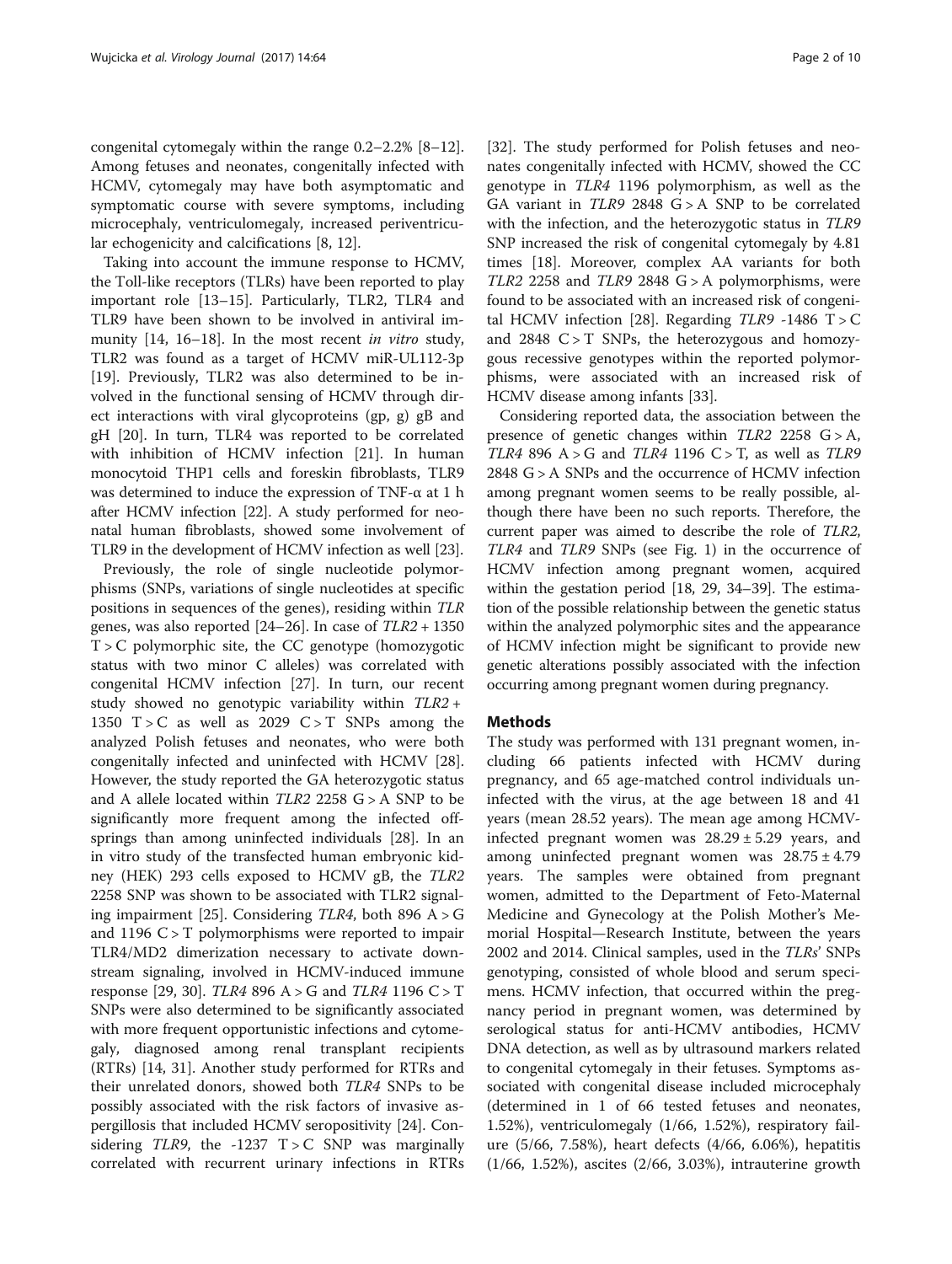congenital cytomegaly within the range 0.2–2.2% [[8](#page-7-0)–[12](#page-7-0)]. Among fetuses and neonates, congenitally infected with HCMV, cytomegaly may have both asymptomatic and symptomatic course with severe symptoms, including microcephaly, ventriculomegaly, increased periventricular echogenicity and calcifications [[8, 12\]](#page-7-0).

Taking into account the immune response to HCMV, the Toll-like receptors (TLRs) have been reported to play important role [\[13](#page-8-0)–[15\]](#page-8-0). Particularly, TLR2, TLR4 and TLR9 have been shown to be involved in antiviral immunity [\[14](#page-8-0), [16](#page-8-0)–[18](#page-8-0)]. In the most recent in vitro study, TLR2 was found as a target of HCMV miR-UL112-3p [[19\]](#page-8-0). Previously, TLR2 was also determined to be involved in the functional sensing of HCMV through direct interactions with viral glycoproteins (gp, g) gB and gH [[20\]](#page-8-0). In turn, TLR4 was reported to be correlated with inhibition of HCMV infection [[21\]](#page-8-0). In human monocytoid THP1 cells and foreskin fibroblasts, TLR9 was determined to induce the expression of TNF-α at 1 h after HCMV infection [\[22\]](#page-8-0). A study performed for neonatal human fibroblasts, showed some involvement of TLR9 in the development of HCMV infection as well [\[23\]](#page-8-0).

Previously, the role of single nucleotide polymorphisms (SNPs, variations of single nucleotides at specific positions in sequences of the genes), residing within TLR genes, was also reported  $[24–26]$  $[24–26]$  $[24–26]$  $[24–26]$  $[24–26]$ . In case of  $TLR2 + 1350$  $T > C$  polymorphic site, the CC genotype (homozygotic status with two minor C alleles) was correlated with congenital HCMV infection [[27\]](#page-8-0). In turn, our recent study showed no genotypic variability within TLR2 + 1350  $T > C$  as well as 2029  $C > T$  SNPs among the analyzed Polish fetuses and neonates, who were both congenitally infected and uninfected with HCMV [\[28](#page-8-0)]. However, the study reported the GA heterozygotic status and A allele located within  $TLR2 2258 G > A$  SNP to be significantly more frequent among the infected offsprings than among uninfected individuals [\[28\]](#page-8-0). In an in vitro study of the transfected human embryonic kidney (HEK) 293 cells exposed to HCMV gB, the TLR2 2258 SNP was shown to be associated with TLR2 signal-ing impairment [\[25](#page-8-0)]. Considering *TLR4*, both 896  $A > G$ and 1196  $C > T$  polymorphisms were reported to impair TLR4/MD2 dimerization necessary to activate downstream signaling, involved in HCMV-induced immune response [[29, 30\]](#page-8-0). *TLR4* 896 A > G and *TLR4* 1196 C > T SNPs were also determined to be significantly associated with more frequent opportunistic infections and cytomegaly, diagnosed among renal transplant recipients (RTRs) [[14, 31](#page-8-0)]. Another study performed for RTRs and their unrelated donors, showed both TLR4 SNPs to be possibly associated with the risk factors of invasive aspergillosis that included HCMV seropositivity [\[24](#page-8-0)]. Considering TLR9, the -1237  $T > C$  SNP was marginally correlated with recurrent urinary infections in RTRs

[[32\]](#page-8-0). The study performed for Polish fetuses and neonates congenitally infected with HCMV, showed the CC genotype in TLR4 1196 polymorphism, as well as the GA variant in TLR9 2848  $G > A$  SNP to be correlated with the infection, and the heterozygotic status in TLR9 SNP increased the risk of congenital cytomegaly by 4.81 times [[18\]](#page-8-0). Moreover, complex AA variants for both TLR2 2258 and TLR9 2848  $G > A$  polymorphisms, were found to be associated with an increased risk of congeni-tal HCMV infection [\[28\]](#page-8-0). Regarding TLR9 -1486  $T > C$ and  $2848 \text{ C} > T$  SNPs, the heterozygous and homozygous recessive genotypes within the reported polymorphisms, were associated with an increased risk of HCMV disease among infants [[33\]](#page-8-0).

Considering reported data, the association between the presence of genetic changes within  $TLR2$  2258  $G > A$ , TLR4 896 A > G and TLR4 1196 C > T, as well as TLR9 2848 G > A SNPs and the occurrence of HCMV infection among pregnant women seems to be really possible, although there have been no such reports. Therefore, the current paper was aimed to describe the role of TLR2, TLR4 and TLR9 SNPs (see Fig. [1](#page-2-0)) in the occurrence of HCMV infection among pregnant women, acquired within the gestation period [\[18, 29, 34](#page-8-0)–[39\]](#page-8-0). The estimation of the possible relationship between the genetic status within the analyzed polymorphic sites and the appearance of HCMV infection might be significant to provide new genetic alterations possibly associated with the infection occurring among pregnant women during pregnancy.

## Methods

The study was performed with 131 pregnant women, including 66 patients infected with HCMV during pregnancy, and 65 age-matched control individuals uninfected with the virus, at the age between 18 and 41 years (mean 28.52 years). The mean age among HCMVinfected pregnant women was  $28.29 \pm 5.29$  years, and among uninfected pregnant women was  $28.75 \pm 4.79$ years. The samples were obtained from pregnant women, admitted to the Department of Feto-Maternal Medicine and Gynecology at the Polish Mother's Memorial Hospital—Research Institute, between the years 2002 and 2014. Clinical samples, used in the TLRs' SNPs genotyping, consisted of whole blood and serum specimens. HCMV infection, that occurred within the pregnancy period in pregnant women, was determined by serological status for anti-HCMV antibodies, HCMV DNA detection, as well as by ultrasound markers related to congenital cytomegaly in their fetuses. Symptoms associated with congenital disease included microcephaly (determined in 1 of 66 tested fetuses and neonates, 1.52%), ventriculomegaly (1/66, 1.52%), respiratory failure (5/66, 7.58%), heart defects (4/66, 6.06%), hepatitis (1/66, 1.52%), ascites (2/66, 3.03%), intrauterine growth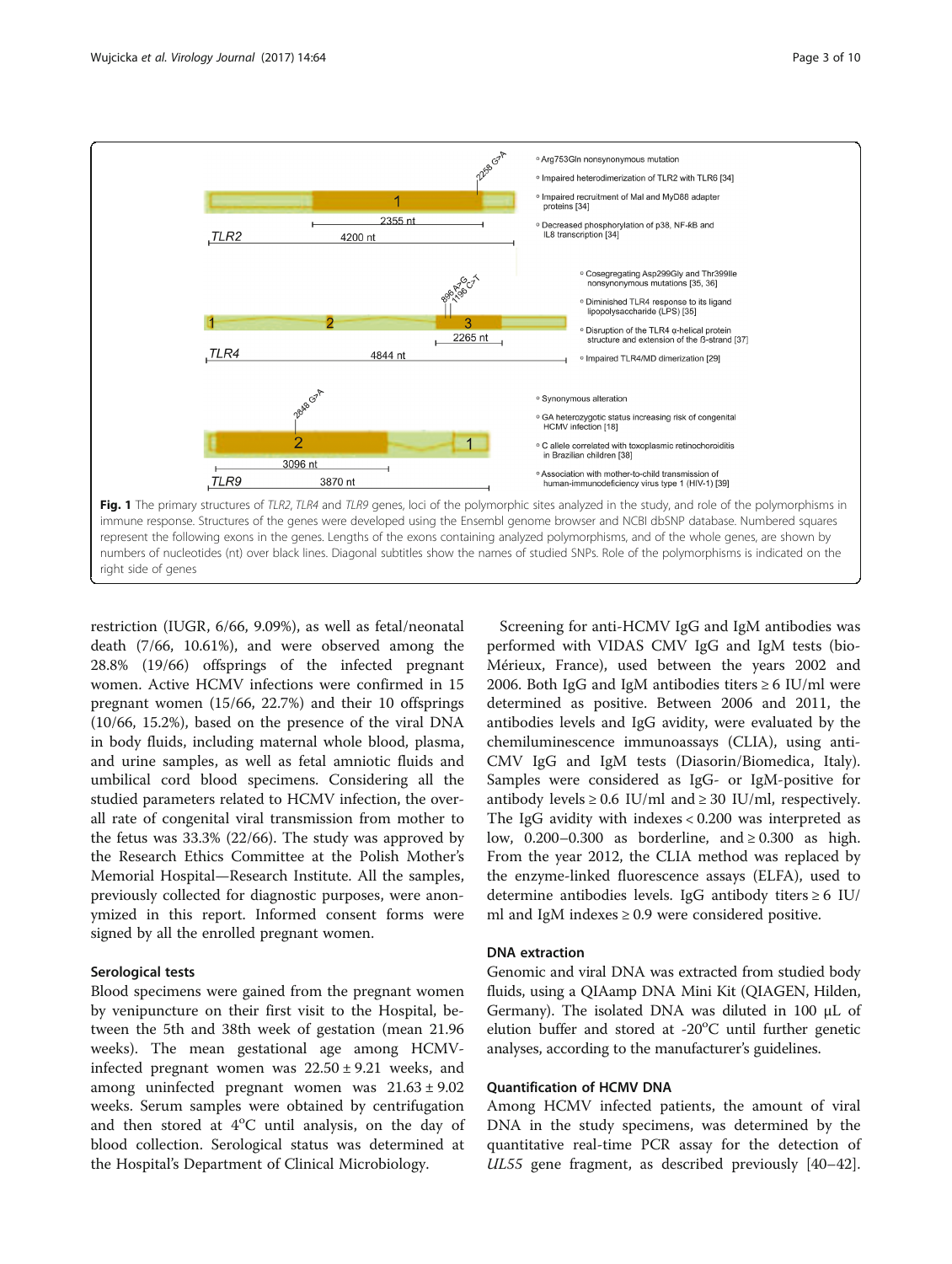<span id="page-2-0"></span>

restriction (IUGR, 6/66, 9.09%), as well as fetal/neonatal death (7/66, 10.61%), and were observed among the 28.8% (19/66) offsprings of the infected pregnant women. Active HCMV infections were confirmed in 15 pregnant women (15/66, 22.7%) and their 10 offsprings (10/66, 15.2%), based on the presence of the viral DNA in body fluids, including maternal whole blood, plasma, and urine samples, as well as fetal amniotic fluids and umbilical cord blood specimens. Considering all the studied parameters related to HCMV infection, the overall rate of congenital viral transmission from mother to the fetus was 33.3% (22/66). The study was approved by the Research Ethics Committee at the Polish Mother's Memorial Hospital—Research Institute. All the samples, previously collected for diagnostic purposes, were anonymized in this report. Informed consent forms were signed by all the enrolled pregnant women.

## Serological tests

Blood specimens were gained from the pregnant women by venipuncture on their first visit to the Hospital, between the 5th and 38th week of gestation (mean 21.96 weeks). The mean gestational age among HCMVinfected pregnant women was  $22.50 \pm 9.21$  weeks, and among uninfected pregnant women was 21.63 ± 9.02 weeks. Serum samples were obtained by centrifugation and then stored at 4°C until analysis, on the day of blood collection. Serological status was determined at the Hospital's Department of Clinical Microbiology.

Screening for anti-HCMV IgG and IgM antibodies was performed with VIDAS CMV IgG and IgM tests (bio-Mérieux, France), used between the years 2002 and 2006. Both IgG and IgM antibodies titers  $\geq 6$  IU/ml were determined as positive. Between 2006 and 2011, the antibodies levels and IgG avidity, were evaluated by the chemiluminescence immunoassays (CLIA), using anti-CMV IgG and IgM tests (Diasorin/Biomedica, Italy). Samples were considered as IgG- or IgM-positive for antibody levels ≥ 0.6 IU/ml and ≥ 30 IU/ml, respectively. The IgG avidity with indexes < 0.200 was interpreted as low,  $0.200 - 0.300$  as borderline, and  $\ge 0.300$  as high. From the year 2012, the CLIA method was replaced by the enzyme-linked fluorescence assays (ELFA), used to determine antibodies levels. IgG antibody titers ≥ 6 IU/ ml and IgM indexes  $\geq$  0.9 were considered positive.

## DNA extraction

Genomic and viral DNA was extracted from studied body fluids, using a QIAamp DNA Mini Kit (QIAGEN, Hilden, Germany). The isolated DNA was diluted in 100 μL of elution buffer and stored at -20°C until further genetic analyses, according to the manufacturer's guidelines.

## Quantification of HCMV DNA

Among HCMV infected patients, the amount of viral DNA in the study specimens, was determined by the quantitative real-time PCR assay for the detection of UL55 gene fragment, as described previously [[40](#page-8-0)–[42](#page-8-0)].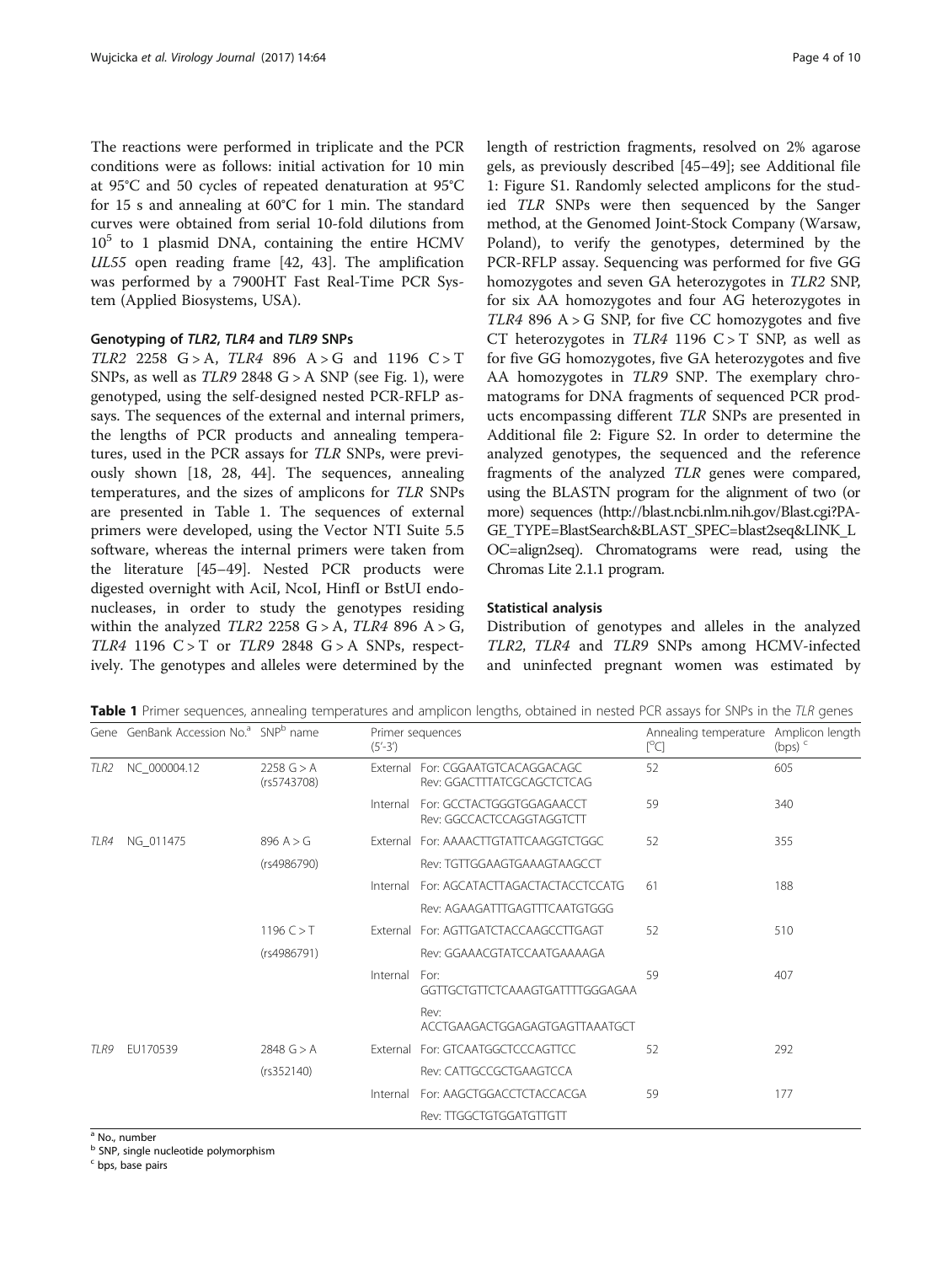The reactions were performed in triplicate and the PCR conditions were as follows: initial activation for 10 min at 95°C and 50 cycles of repeated denaturation at 95°C for 15 s and annealing at 60°C for 1 min. The standard curves were obtained from serial 10-fold dilutions from  $10<sup>5</sup>$  to 1 plasmid DNA, containing the entire HCMV UL55 open reading frame [[42, 43\]](#page-8-0). The amplification was performed by a 7900HT Fast Real-Time PCR System (Applied Biosystems, USA).

#### Genotyping of TLR2, TLR4 and TLR9 SNPs

TLR2 2258  $G > A$ , TLR4 896  $A > G$  and 1196  $C > T$ SNPs, as well as  $TLR9 2848 G > A$  SNP (see Fig. [1\)](#page-2-0), were genotyped, using the self-designed nested PCR-RFLP assays. The sequences of the external and internal primers, the lengths of PCR products and annealing temperatures, used in the PCR assays for TLR SNPs, were previously shown [\[18](#page-8-0), [28, 44](#page-8-0)]. The sequences, annealing temperatures, and the sizes of amplicons for TLR SNPs are presented in Table 1. The sequences of external primers were developed, using the Vector NTI Suite 5.5 software, whereas the internal primers were taken from the literature [[45](#page-8-0)–[49](#page-8-0)]. Nested PCR products were digested overnight with AciI, NcoI, HinfI or BstUI endonucleases, in order to study the genotypes residing within the analyzed TLR2 2258  $G > A$ , TLR4 896  $A > G$ , TLR4 1196  $C > T$  or TLR9 2848  $G > A$  SNPs, respectively. The genotypes and alleles were determined by the length of restriction fragments, resolved on 2% agarose gels, as previously described [[45](#page-8-0)–[49](#page-8-0)]; see Additional file [1:](#page-7-0) Figure S1. Randomly selected amplicons for the studied TLR SNPs were then sequenced by the Sanger method, at the Genomed Joint-Stock Company (Warsaw, Poland), to verify the genotypes, determined by the PCR-RFLP assay. Sequencing was performed for five GG homozygotes and seven GA heterozygotes in TLR2 SNP, for six AA homozygotes and four AG heterozygotes in TLR4 896  $A > G$  SNP, for five CC homozygotes and five CT heterozygotes in TLR4 1196  $C > T$  SNP, as well as for five GG homozygotes, five GA heterozygotes and five AA homozygotes in TLR9 SNP. The exemplary chromatograms for DNA fragments of sequenced PCR products encompassing different TLR SNPs are presented in Additional file [2](#page-7-0): Figure S2. In order to determine the analyzed genotypes, the sequenced and the reference fragments of the analyzed TLR genes were compared, using the BLASTN program for the alignment of two (or more) sequences [\(http://blast.ncbi.nlm.nih.gov/Blast.cgi?PA-](http://blast.ncbi.nlm.nih.gov/Blast.cgi?PAGE_TYPE=BlastSearch&BLAST_SPEC=blast2seq&LINK_LOC=align2seq)[GE\\_TYPE=BlastSearch&BLAST\\_SPEC=blast2seq&LINK\\_L](http://blast.ncbi.nlm.nih.gov/Blast.cgi?PAGE_TYPE=BlastSearch&BLAST_SPEC=blast2seq&LINK_LOC=align2seq) [OC=align2seq\)](http://blast.ncbi.nlm.nih.gov/Blast.cgi?PAGE_TYPE=BlastSearch&BLAST_SPEC=blast2seq&LINK_LOC=align2seq). Chromatograms were read, using the Chromas Lite 2.1.1 program.

## Statistical analysis

Distribution of genotypes and alleles in the analyzed TLR2, TLR4 and TLR9 SNPs among HCMV-infected and uninfected pregnant women was estimated by

|       | Gene GenBank Accession No. <sup>a</sup> SNP <sup>b</sup> name |                           | $(5' - 3')$     | Primer sequences                                                | Annealing temperature Amplicon length<br>[°C] | $(bps)$ <sup>c</sup> |
|-------|---------------------------------------------------------------|---------------------------|-----------------|-----------------------------------------------------------------|-----------------------------------------------|----------------------|
| TLR2  | NC_000004.12                                                  | 2258 G > A<br>(rs5743708) |                 | External For: CGGAATGTCACAGGACAGC<br>Rev: GGACTTTATCGCAGCTCTCAG | 52                                            | 605                  |
|       |                                                               |                           | Internal        | For: GCCTACTGGGTGGAGAACCT<br>Rev: GGCCACTCCAGGTAGGTCTT          | 59                                            | 340                  |
| TLR4  | NG_011475                                                     | 896 A > G                 |                 | External For: AAAACTTGTATTCAAGGTCTGGC                           | 52                                            | 355                  |
|       |                                                               | (rs4986790)               |                 | Rev: TGTTGGAAGTGAAAGTAAGCCT                                     |                                               |                      |
|       |                                                               |                           | Internal        | For: AGCATACTTAGACTACTACCTCCATG                                 | 61                                            | 188                  |
|       |                                                               |                           |                 | Rev: AGAAGATTTGAGTTTCAATGTGGG                                   |                                               |                      |
|       |                                                               | 1196 $C > T$              | <b>External</b> | For: AGTTGATCTACCAAGCCTTGAGT                                    | 52                                            | 510                  |
|       |                                                               | (rs4986791)               |                 | Rev: GGAAACGTATCCAATGAAAAGA                                     |                                               |                      |
|       |                                                               |                           | Internal        | For:<br>GGTTGCTGTTCTCAAAGTGATTTTGGGAGAA                         | 59                                            | 407                  |
|       |                                                               |                           |                 | Rev:<br>ACCTGAAGACTGGAGAGTGAGTTAAATGCT                          |                                               |                      |
| TI R9 | FU170539                                                      | 2848 G > A                | <b>External</b> | For: GTCAATGGCTCCCAGTTCC                                        | 52                                            | 292                  |
|       |                                                               | (rs352140)                |                 | Rev: CATTGCCGCTGAAGTCCA                                         |                                               |                      |
|       |                                                               |                           | Internal        | For: AAGCTGGACCTCTACCACGA                                       | 59                                            | 177                  |
|       |                                                               |                           |                 | Rev: TTGGCTGTGGATGTTGTT                                         |                                               |                      |

Table 1 Primer sequences, annealing temperatures and amplicon lengths, obtained in nested PCR assays for SNPs in the TLR genes

<sup>a</sup> No., number

b SNP, single nucleotide polymorphism

 $c$  bps, base pairs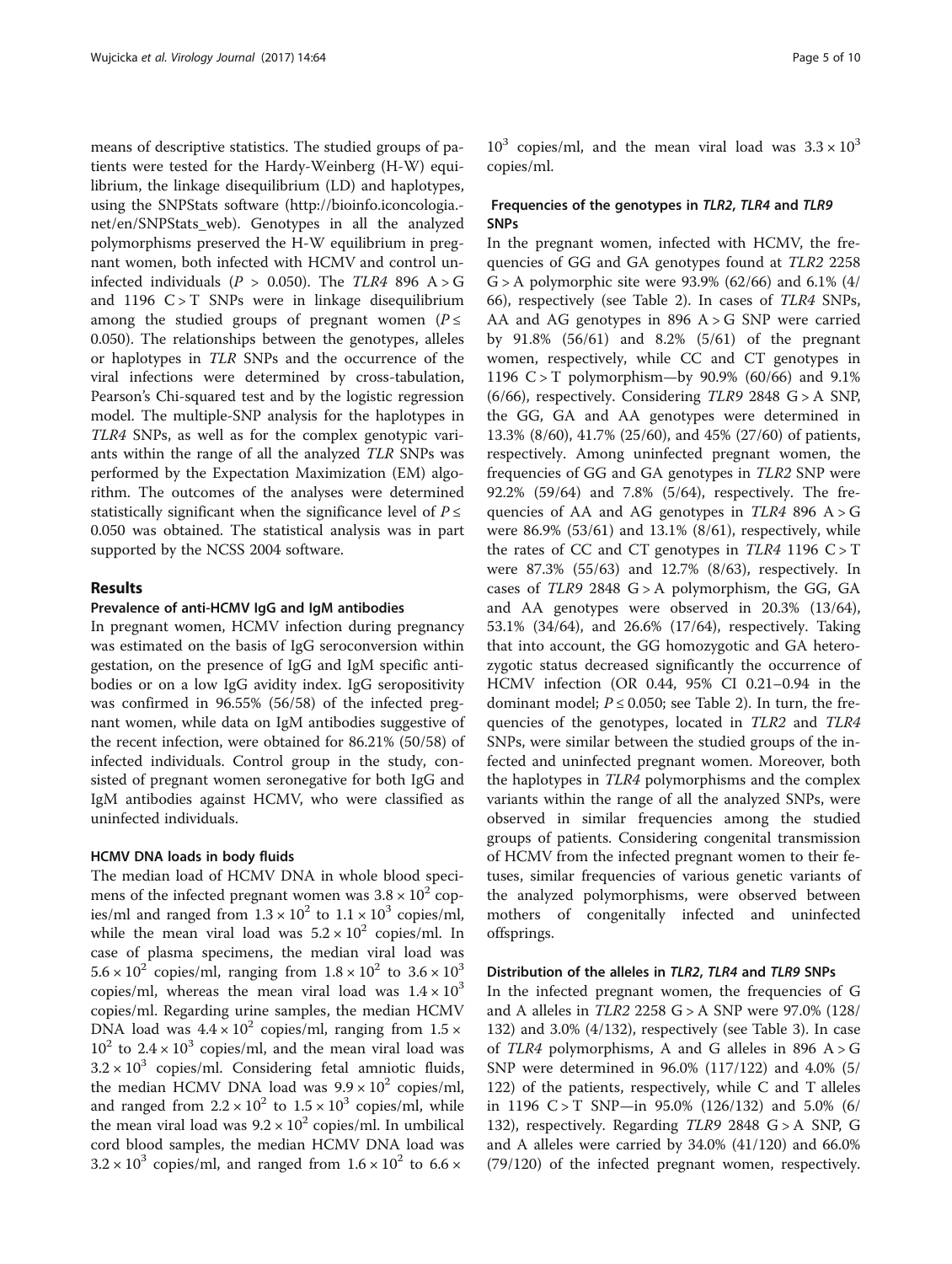means of descriptive statistics. The studied groups of patients were tested for the Hardy-Weinberg (H-W) equilibrium, the linkage disequilibrium (LD) and haplotypes, using the SNPStats software [\(http://bioinfo.iconcologia.](http://bioinfo.iconcologia.net/en/SNPStats_web) [net/en/SNPStats\\_web](http://bioinfo.iconcologia.net/en/SNPStats_web)). Genotypes in all the analyzed polymorphisms preserved the H-W equilibrium in pregnant women, both infected with HCMV and control uninfected individuals ( $P > 0.050$ ). The TLR4 896 A  $>$  G and 1196  $C > T$  SNPs were in linkage disequilibrium among the studied groups of pregnant women ( $P \leq$ 0.050). The relationships between the genotypes, alleles or haplotypes in TLR SNPs and the occurrence of the viral infections were determined by cross-tabulation, Pearson's Chi-squared test and by the logistic regression model. The multiple-SNP analysis for the haplotypes in TLR4 SNPs, as well as for the complex genotypic variants within the range of all the analyzed TLR SNPs was performed by the Expectation Maximization (EM) algorithm. The outcomes of the analyses were determined statistically significant when the significance level of  $P \leq$ 0.050 was obtained. The statistical analysis was in part supported by the NCSS 2004 software.

#### Results

## Prevalence of anti-HCMV IgG and IgM antibodies

In pregnant women, HCMV infection during pregnancy was estimated on the basis of IgG seroconversion within gestation, on the presence of IgG and IgM specific antibodies or on a low IgG avidity index. IgG seropositivity was confirmed in 96.55% (56/58) of the infected pregnant women, while data on IgM antibodies suggestive of the recent infection, were obtained for 86.21% (50/58) of infected individuals. Control group in the study, consisted of pregnant women seronegative for both IgG and IgM antibodies against HCMV, who were classified as uninfected individuals.

## HCMV DNA loads in body fluids

The median load of HCMV DNA in whole blood specimens of the infected pregnant women was  $3.8 \times 10^2$  copies/ml and ranged from  $1.3 \times 10^2$  to  $1.1 \times 10^3$  copies/ml, while the mean viral load was  $5.2 \times 10^2$  copies/ml. In case of plasma specimens, the median viral load was  $5.6 \times 10^2$  copies/ml, ranging from  $1.8 \times 10^2$  to  $3.6 \times 10^3$ copies/ml, whereas the mean viral load was  $1.4 \times 10^3$ copies/ml. Regarding urine samples, the median HCMV DNA load was  $4.4 \times 10^2$  copies/ml, ranging from  $1.5 \times$  $10^2$  to  $2.4 \times 10^3$  copies/ml, and the mean viral load was  $3.2 \times 10^3$  copies/ml. Considering fetal amniotic fluids, the median HCMV DNA load was  $9.9 \times 10^2$  copies/ml, and ranged from  $2.2 \times 10^2$  to  $1.5 \times 10^3$  copies/ml, while the mean viral load was  $9.2 \times 10^2$  copies/ml. In umbilical cord blood samples, the median HCMV DNA load was  $3.2 \times 10^3$  copies/ml, and ranged from  $1.6 \times 10^2$  to  $6.6 \times$ 

 $10^3$  copies/ml, and the mean viral load was  $3.3 \times 10^3$ copies/ml.

## Frequencies of the genotypes in TLR2, TLR4 and TLR9 **SNPs**

In the pregnant women, infected with HCMV, the frequencies of GG and GA genotypes found at TLR2 2258  $G > A$  polymorphic site were 93.9% (62/66) and 6.1% (4/ 66), respectively (see Table [2](#page-5-0)). In cases of TLR4 SNPs, AA and AG genotypes in 896  $A > G$  SNP were carried by 91.8% (56/61) and 8.2% (5/61) of the pregnant women, respectively, while CC and CT genotypes in 1196  $C > T$  polymorphism—by 90.9% (60/66) and 9.1% (6/66), respectively. Considering TLR9 2848  $G > A$  SNP, the GG, GA and AA genotypes were determined in 13.3% (8/60), 41.7% (25/60), and 45% (27/60) of patients, respectively. Among uninfected pregnant women, the frequencies of GG and GA genotypes in TLR2 SNP were 92.2% (59/64) and 7.8% (5/64), respectively. The frequencies of AA and AG genotypes in  $TLR4$  896 A > G were 86.9% (53/61) and 13.1% (8/61), respectively, while the rates of CC and CT genotypes in  $TLR4$  1196 C > T were 87.3% (55/63) and 12.7% (8/63), respectively. In cases of TLR9 2848  $G > A$  polymorphism, the GG, GA and AA genotypes were observed in 20.3% (13/64), 53.1% (34/64), and 26.6% (17/64), respectively. Taking that into account, the GG homozygotic and GA heterozygotic status decreased significantly the occurrence of HCMV infection (OR 0.44, 95% CI 0.21–0.94 in the dominant model;  $P \le 0.050$ ; see Table [2](#page-5-0)). In turn, the frequencies of the genotypes, located in TLR2 and TLR4 SNPs, were similar between the studied groups of the infected and uninfected pregnant women. Moreover, both the haplotypes in TLR4 polymorphisms and the complex variants within the range of all the analyzed SNPs, were observed in similar frequencies among the studied groups of patients. Considering congenital transmission of HCMV from the infected pregnant women to their fetuses, similar frequencies of various genetic variants of the analyzed polymorphisms, were observed between mothers of congenitally infected and uninfected offsprings.

#### Distribution of the alleles in TLR2, TLR4 and TLR9 SNPs

In the infected pregnant women, the frequencies of G and A alleles in TLR2 2258 G > A SNP were 97.0% (128/ 132) and 3.0% (4/132), respectively (see Table [3\)](#page-5-0). In case of *TLR4* polymorphisms, A and G alleles in 896  $A > G$ SNP were determined in 96.0% (117/122) and 4.0% (5/ 122) of the patients, respectively, while C and T alleles in 1196  $C > T$  SNP—in 95.0% (126/132) and 5.0% (6/ 132), respectively. Regarding TLR9 2848 G > A SNP, G and A alleles were carried by 34.0% (41/120) and 66.0% (79/120) of the infected pregnant women, respectively.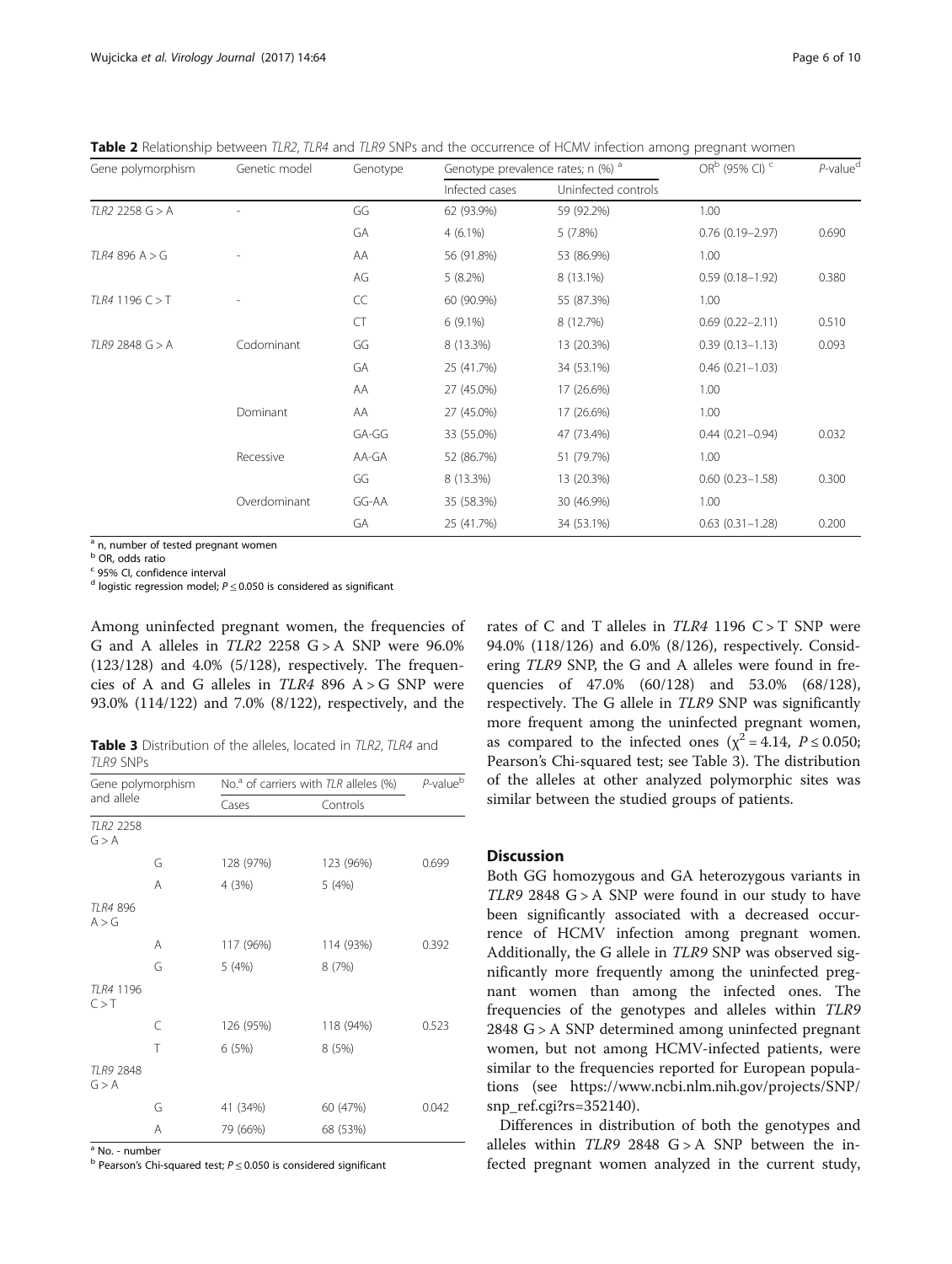<span id="page-5-0"></span>Table 2 Relationship between TLR2, TLR4 and TLR9 SNPs and the occurrence of HCMV infection among pregnant women

| Gene polymorphism | Genetic model | Genotype | Genotype prevalence rates; n (%) a |                     | OR <sup>b</sup> (95% CI) <sup>c</sup> | $P$ -value <sup>d</sup> |
|-------------------|---------------|----------|------------------------------------|---------------------|---------------------------------------|-------------------------|
|                   |               |          | Infected cases                     | Uninfected controls |                                       |                         |
| TLR2 2258 G > A   |               | GG       | 62 (93.9%)                         | 59 (92.2%)          | 1.00                                  |                         |
|                   |               | GA       | $4(6.1\%)$                         | 5(7.8%)             | $0.76$ $(0.19 - 2.97)$                | 0.690                   |
| TLR4896A>G        |               | AA       | 56 (91.8%)                         | 53 (86.9%)          | 1.00                                  |                         |
|                   |               | AG       | $5(8.2\%)$                         | 8 (13.1%)           | $0.59(0.18 - 1.92)$                   | 0.380                   |
| TLR4 1196 C > T   |               | CC       | 60 (90.9%)                         | 55 (87.3%)          | 1.00                                  |                         |
|                   |               | CT       | $6(9.1\%)$                         | 8 (12.7%)           | $0.69(0.22 - 2.11)$                   | 0.510                   |
| TLR9 2848 G > A   | Codominant    | GG       | 8 (13.3%)                          | 13 (20.3%)          | $0.39(0.13 - 1.13)$                   | 0.093                   |
|                   |               | GА       | 25 (41.7%)                         | 34 (53.1%)          | $0.46(0.21 - 1.03)$                   |                         |
|                   |               | AA       | 27 (45.0%)                         | 17 (26.6%)          | 1.00                                  |                         |
|                   | Dominant      | AA       | 27 (45.0%)                         | 17 (26.6%)          | 1.00                                  |                         |
|                   |               | GA-GG    | 33 (55.0%)                         | 47 (73.4%)          | $0.44(0.21 - 0.94)$                   | 0.032                   |
|                   | Recessive     | AA-GA    | 52 (86.7%)                         | 51 (79.7%)          | 1.00                                  |                         |
|                   |               | GG       | 8 (13.3%)                          | 13 (20.3%)          | $0.60(0.23 - 1.58)$                   | 0.300                   |
|                   | Overdominant  | GG-AA    | 35 (58.3%)                         | 30 (46.9%)          | 1.00                                  |                         |
|                   |               | GA       | 25 (41.7%)                         | 34 (53.1%)          | $0.63$ $(0.31 - 1.28)$                | 0.200                   |

<sup>a</sup> n, number of tested pregnant women

<sup>b</sup> OR, odds ratio

<sup>c</sup> 95% CI, confidence interval

 $d$  logistic regression model;  $P \le 0.050$  is considered as significant

Among uninfected pregnant women, the frequencies of G and A alleles in  $TLR2$  2258 G > A SNP were 96.0%  $(123/128)$  and  $4.0\%$   $(5/128)$ , respectively. The frequencies of A and G alleles in  $TLR4$  896  $A > G$  SNP were 93.0% (114/122) and 7.0% (8/122), respectively, and the

Table 3 Distribution of the alleles, located in TLR2, TLR4 and TLR9 SNPs

| Gene polymorphism         |   | No. $^a$ of carriers with TLR alleles (%) | $P$ -value $b$ |       |  |
|---------------------------|---|-------------------------------------------|----------------|-------|--|
| and allele                |   | Cases<br>Controls                         |                |       |  |
| TLR2 2258<br>G > A        |   |                                           |                |       |  |
|                           | G | 128 (97%)                                 | 123 (96%)      | 0.699 |  |
|                           | A | 4 (3%)                                    | 5(4%)          |       |  |
| <b>TLR4 896</b><br>A > G  |   |                                           |                |       |  |
|                           | А | 117 (96%)                                 | 114 (93%)      | 0.392 |  |
|                           | G | 5(4%)                                     | 8(7%)          |       |  |
| TLR4 1196<br>C > T        |   |                                           |                |       |  |
|                           | C | 126 (95%)                                 | 118 (94%)      | 0.523 |  |
|                           | T | 6(5%)                                     | 8(5%)          |       |  |
| <b>TLR9 2848</b><br>G > A |   |                                           |                |       |  |
|                           | G | 41 (34%)                                  | 60 (47%)       | 0.042 |  |
|                           | Α | 79 (66%)                                  | 68 (53%)       |       |  |

<sup>a</sup> No. - number

 $b$  Pearson's Chi-squared test;  $P \le 0.050$  is considered significant

rates of C and T alleles in  $TLR4$  1196 C > T SNP were 94.0% (118/126) and 6.0% (8/126), respectively. Considering TLR9 SNP, the G and A alleles were found in frequencies of 47.0% (60/128) and 53.0% (68/128), respectively. The G allele in TLR9 SNP was significantly more frequent among the uninfected pregnant women, as compared to the infected ones ( $\chi^2$  = 4.14,  $P \le 0.050$ ; Pearson's Chi-squared test; see Table 3). The distribution of the alleles at other analyzed polymorphic sites was similar between the studied groups of patients.

#### **Discussion**

Both GG homozygous and GA heterozygous variants in TLR9 2848  $G > A$  SNP were found in our study to have been significantly associated with a decreased occurrence of HCMV infection among pregnant women. Additionally, the G allele in TLR9 SNP was observed significantly more frequently among the uninfected pregnant women than among the infected ones. The frequencies of the genotypes and alleles within TLR9 2848 G > A SNP determined among uninfected pregnant women, but not among HCMV-infected patients, were similar to the frequencies reported for European populations (see [https://www.ncbi.nlm.nih.gov/projects/SNP/](https://www.ncbi.nlm.nih.gov/projects/SNP/snp_ref.cgi?rs=352140) [snp\\_ref.cgi?rs=352140\)](https://www.ncbi.nlm.nih.gov/projects/SNP/snp_ref.cgi?rs=352140).

Differences in distribution of both the genotypes and alleles within TLR9 2848  $G > A$  SNP between the infected pregnant women analyzed in the current study,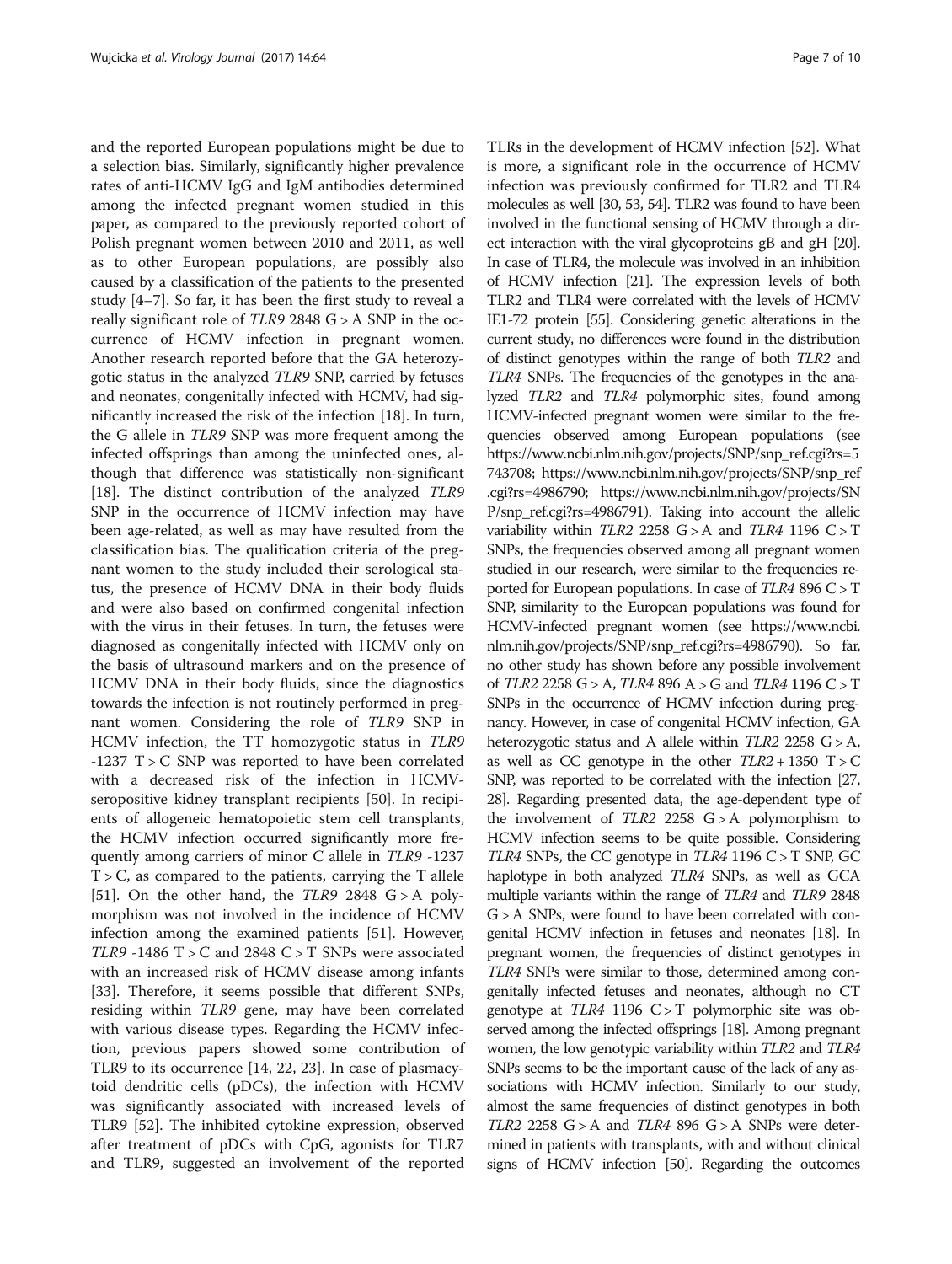and the reported European populations might be due to a selection bias. Similarly, significantly higher prevalence rates of anti-HCMV IgG and IgM antibodies determined among the infected pregnant women studied in this paper, as compared to the previously reported cohort of Polish pregnant women between 2010 and 2011, as well as to other European populations, are possibly also caused by a classification of the patients to the presented study [[4](#page-7-0)–[7\]](#page-7-0). So far, it has been the first study to reveal a really significant role of TLR9 2848 G > A SNP in the occurrence of HCMV infection in pregnant women. Another research reported before that the GA heterozygotic status in the analyzed TLR9 SNP, carried by fetuses and neonates, congenitally infected with HCMV, had significantly increased the risk of the infection [\[18\]](#page-8-0). In turn, the G allele in TLR9 SNP was more frequent among the infected offsprings than among the uninfected ones, although that difference was statistically non-significant [[18\]](#page-8-0). The distinct contribution of the analyzed TLR9 SNP in the occurrence of HCMV infection may have been age-related, as well as may have resulted from the classification bias. The qualification criteria of the pregnant women to the study included their serological status, the presence of HCMV DNA in their body fluids and were also based on confirmed congenital infection with the virus in their fetuses. In turn, the fetuses were diagnosed as congenitally infected with HCMV only on the basis of ultrasound markers and on the presence of HCMV DNA in their body fluids, since the diagnostics towards the infection is not routinely performed in pregnant women. Considering the role of TLR9 SNP in HCMV infection, the TT homozygotic status in TLR9  $-1237$  T  $>$  C SNP was reported to have been correlated with a decreased risk of the infection in HCMVseropositive kidney transplant recipients [\[50\]](#page-8-0). In recipients of allogeneic hematopoietic stem cell transplants, the HCMV infection occurred significantly more frequently among carriers of minor C allele in TLR9 -1237  $T > C$ , as compared to the patients, carrying the T allele [[51\]](#page-8-0). On the other hand, the TLR9 2848  $G > A$  polymorphism was not involved in the incidence of HCMV infection among the examined patients [\[51](#page-8-0)]. However, TLR9 -1486  $T > C$  and 2848  $C > T$  SNPs were associated with an increased risk of HCMV disease among infants [[33\]](#page-8-0). Therefore, it seems possible that different SNPs, residing within TLR9 gene, may have been correlated with various disease types. Regarding the HCMV infection, previous papers showed some contribution of TLR9 to its occurrence [\[14](#page-8-0), [22](#page-8-0), [23](#page-8-0)]. In case of plasmacytoid dendritic cells (pDCs), the infection with HCMV was significantly associated with increased levels of TLR9 [[52\]](#page-8-0). The inhibited cytokine expression, observed after treatment of pDCs with CpG, agonists for TLR7 and TLR9, suggested an involvement of the reported

is more, a significant role in the occurrence of HCMV infection was previously confirmed for TLR2 and TLR4 molecules as well [\[30, 53,](#page-8-0) [54\]](#page-9-0). TLR2 was found to have been involved in the functional sensing of HCMV through a direct interaction with the viral glycoproteins gB and gH [\[20](#page-8-0)]. In case of TLR4, the molecule was involved in an inhibition of HCMV infection [\[21\]](#page-8-0). The expression levels of both TLR2 and TLR4 were correlated with the levels of HCMV IE1-72 protein [[55\]](#page-9-0). Considering genetic alterations in the current study, no differences were found in the distribution of distinct genotypes within the range of both TLR2 and TLR4 SNPs. The frequencies of the genotypes in the analyzed TLR2 and TLR4 polymorphic sites, found among HCMV-infected pregnant women were similar to the frequencies observed among European populations (see [https://www.ncbi.nlm.nih.gov/projects/SNP/snp\\_ref.cgi?rs=5](https://www.ncbi.nlm.nih.gov/projects/SNP/snp_ref.cgi?rs=5743708) [743708;](https://www.ncbi.nlm.nih.gov/projects/SNP/snp_ref.cgi?rs=5743708) [https://www.ncbi.nlm.nih.gov/projects/SNP/snp\\_ref](https://www.ncbi.nlm.nih.gov/projects/SNP/snp_ref.cgi?rs=4986790) [.cgi?rs=4986790](https://www.ncbi.nlm.nih.gov/projects/SNP/snp_ref.cgi?rs=4986790); [https://www.ncbi.nlm.nih.gov/projects/SN](https://www.ncbi.nlm.nih.gov/projects/SNP/snp_ref.cgi?rs=4986791) [P/snp\\_ref.cgi?rs=4986791\)](https://www.ncbi.nlm.nih.gov/projects/SNP/snp_ref.cgi?rs=4986791). Taking into account the allelic variability within TLR2 2258  $G > A$  and TLR4 1196  $C > T$ SNPs, the frequencies observed among all pregnant women studied in our research, were similar to the frequencies reported for European populations. In case of  $TLR4 896 C > T$ SNP, similarity to the European populations was found for HCMV-infected pregnant women (see [https://www.ncbi.](https://www.ncbi.nlm.nih.gov/projects/SNP/snp_ref.cgi?rs=4986790) [nlm.nih.gov/projects/SNP/snp\\_ref.cgi?rs=4986790](https://www.ncbi.nlm.nih.gov/projects/SNP/snp_ref.cgi?rs=4986790)). So far, no other study has shown before any possible involvement of TLR2 2258 G > A, TLR4 896 A > G and TLR4 1196 C > T SNPs in the occurrence of HCMV infection during pregnancy. However, in case of congenital HCMV infection, GA heterozygotic status and A allele within  $TLR2$  2258  $G > A$ , as well as CC genotype in the other  $TLR2 + 1350$  T > C SNP, was reported to be correlated with the infection [\[27](#page-8-0), [28](#page-8-0)]. Regarding presented data, the age-dependent type of the involvement of  $TLR2$  2258  $G > A$  polymorphism to HCMV infection seems to be quite possible. Considering TLR4 SNPs, the CC genotype in TLR4 1196 C > T SNP, GC haplotype in both analyzed TLR4 SNPs, as well as GCA multiple variants within the range of TLR4 and TLR9 2848 G > A SNPs, were found to have been correlated with congenital HCMV infection in fetuses and neonates [\[18\]](#page-8-0). In pregnant women, the frequencies of distinct genotypes in TLR4 SNPs were similar to those, determined among congenitally infected fetuses and neonates, although no CT genotype at  $TLR4$  1196  $C>T$  polymorphic site was observed among the infected offsprings [[18\]](#page-8-0). Among pregnant women, the low genotypic variability within TLR2 and TLR4 SNPs seems to be the important cause of the lack of any associations with HCMV infection. Similarly to our study, almost the same frequencies of distinct genotypes in both TLR2 2258  $G > A$  and TLR4 896  $G > A$  SNPs were determined in patients with transplants, with and without clinical signs of HCMV infection [\[50](#page-8-0)]. Regarding the outcomes

TLRs in the development of HCMV infection [[52\]](#page-8-0). What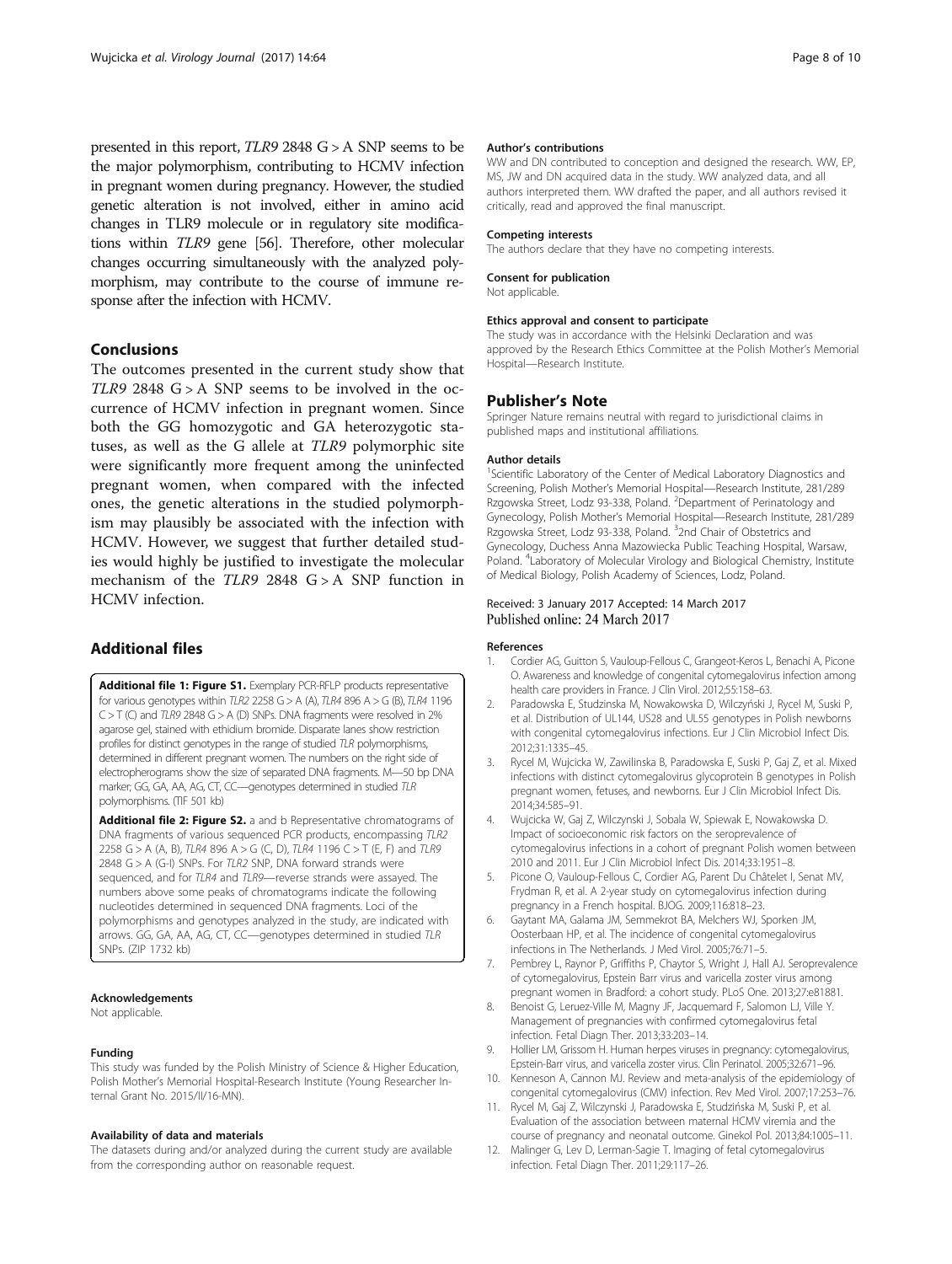<span id="page-7-0"></span>presented in this report, TLR9 2848 G > A SNP seems to be the major polymorphism, contributing to HCMV infection in pregnant women during pregnancy. However, the studied genetic alteration is not involved, either in amino acid changes in TLR9 molecule or in regulatory site modifications within TLR9 gene [\[56](#page-9-0)]. Therefore, other molecular changes occurring simultaneously with the analyzed polymorphism, may contribute to the course of immune response after the infection with HCMV.

## Conclusions

The outcomes presented in the current study show that TLR9 2848  $G > A$  SNP seems to be involved in the occurrence of HCMV infection in pregnant women. Since both the GG homozygotic and GA heterozygotic statuses, as well as the G allele at TLR9 polymorphic site were significantly more frequent among the uninfected pregnant women, when compared with the infected ones, the genetic alterations in the studied polymorphism may plausibly be associated with the infection with HCMV. However, we suggest that further detailed studies would highly be justified to investigate the molecular mechanism of the TLR9 2848  $G > A$  SNP function in HCMV infection.

## Additional files

[Additional file 1: Figure S1.](dx.doi.org/10.1186/s12985-017-0730-8) Exemplary PCR-RFLP products representative for various genotypes within TLR2 2258  $G > A$  (A), TLR4 896 A  $> G$  (B), TLR4 1196  $C > T$  (C) and TLR9 2848 G > A (D) SNPs. DNA fragments were resolved in 2% agarose gel, stained with ethidium bromide. Disparate lanes show restriction profiles for distinct genotypes in the range of studied TLR polymorphisms, determined in different pregnant women. The numbers on the right side of electropherograms show the size of separated DNA fragments. M—50 bp DNA marker; GG, GA, AA, AG, CT, CC—genotypes determined in studied TLR polymorphisms. (TIF 501 kb)

[Additional file 2: Figure S2.](dx.doi.org/10.1186/s12985-017-0730-8) a and b Representative chromatograms of DNA fragments of various sequenced PCR products, encompassing TLR2 2258 G > A (A, B), TLR4 896 A > G (C, D), TLR4 1196 C > T (E, F) and TLR9 2848 G > A (G-I) SNPs. For TLR2 SNP, DNA forward strands were sequenced, and for TLR4 and TLR9—reverse strands were assayed. The numbers above some peaks of chromatograms indicate the following nucleotides determined in sequenced DNA fragments. Loci of the polymorphisms and genotypes analyzed in the study, are indicated with arrows. GG, GA, AA, AG, CT, CC—genotypes determined in studied TLR SNPs. (ZIP 1732 kb)

#### Acknowledgements

Not applicable.

#### Funding

This study was funded by the Polish Ministry of Science & Higher Education, Polish Mother's Memorial Hospital-Research Institute (Young Researcher Internal Grant No. 2015/II/16-MN).

#### Availability of data and materials

The datasets during and/or analyzed during the current study are available from the corresponding author on reasonable request.

#### Author's contributions

WW and DN contributed to conception and designed the research. WW, EP, MS, JW and DN acquired data in the study. WW analyzed data, and all authors interpreted them. WW drafted the paper, and all authors revised it critically, read and approved the final manuscript.

#### Competing interests

The authors declare that they have no competing interests.

#### Consent for publication

Not applicable.

#### Ethics approval and consent to participate

The study was in accordance with the Helsinki Declaration and was approved by the Research Ethics Committee at the Polish Mother's Memorial Hospital—Research Institute.

## Publisher's Note

Springer Nature remains neutral with regard to jurisdictional claims in published maps and institutional affiliations.

#### Author details

<sup>1</sup>Scientific Laboratory of the Center of Medical Laboratory Diagnostics and Screening, Polish Mother's Memorial Hospital—Research Institute, 281/289 Rzgowska Street, Lodz 93-338, Poland. <sup>2</sup>Department of Perinatology and Gynecology, Polish Mother's Memorial Hospital—Research Institute, 281/289 Rzgowska Street, Lodz 93-338, Poland. <sup>3</sup>2nd Chair of Obstetrics and Gynecology, Duchess Anna Mazowiecka Public Teaching Hospital, Warsaw, Poland. <sup>4</sup> Laboratory of Molecular Virology and Biological Chemistry, Institute of Medical Biology, Polish Academy of Sciences, Lodz, Poland.

### Received: 3 January 2017 Accepted: 14 March 2017 Published online: 24 March 2017

#### References

- 1. Cordier AG, Guitton S, Vauloup-Fellous C, Grangeot-Keros L, Benachi A, Picone O. Awareness and knowledge of congenital cytomegalovirus infection among health care providers in France. J Clin Virol. 2012;55:158–63.
- 2. Paradowska E, Studzinska M, Nowakowska D, Wilczyński J, Rycel M, Suski P, et al. Distribution of UL144, US28 and UL55 genotypes in Polish newborns with congenital cytomegalovirus infections. Eur J Clin Microbiol Infect Dis. 2012;31:1335–45.
- 3. Rycel M, Wujcicka W, Zawilinska B, Paradowska E, Suski P, Gaj Z, et al. Mixed infections with distinct cytomegalovirus glycoprotein B genotypes in Polish pregnant women, fetuses, and newborns. Eur J Clin Microbiol Infect Dis. 2014;34:585–91.
- 4. Wujcicka W, Gaj Z, Wilczynski J, Sobala W, Spiewak E, Nowakowska D. Impact of socioeconomic risk factors on the seroprevalence of cytomegalovirus infections in a cohort of pregnant Polish women between 2010 and 2011. Eur J Clin Microbiol Infect Dis. 2014;33:1951–8.
- 5. Picone O, Vauloup-Fellous C, Cordier AG, Parent Du Châtelet I, Senat MV, Frydman R, et al. A 2-year study on cytomegalovirus infection during pregnancy in a French hospital. BJOG. 2009;116:818–23.
- 6. Gaytant MA, Galama JM, Semmekrot BA, Melchers WJ, Sporken JM, Oosterbaan HP, et al. The incidence of congenital cytomegalovirus infections in The Netherlands. J Med Virol. 2005;76:71–5.
- 7. Pembrey L, Raynor P, Griffiths P, Chaytor S, Wright J, Hall AJ. Seroprevalence of cytomegalovirus, Epstein Barr virus and varicella zoster virus among pregnant women in Bradford: a cohort study. PLoS One. 2013;27:e81881.
- 8. Benoist G, Leruez-Ville M, Magny JF, Jacquemard F, Salomon LJ, Ville Y. Management of pregnancies with confirmed cytomegalovirus fetal infection. Fetal Diagn Ther. 2013;33:203–14.
- 9. Hollier LM, Grissom H. Human herpes viruses in pregnancy: cytomegalovirus, Epstein-Barr virus, and varicella zoster virus. Clin Perinatol. 2005;32:671–96.
- 10. Kenneson A, Cannon MJ. Review and meta-analysis of the epidemiology of congenital cytomegalovirus (CMV) infection. Rev Med Virol. 2007;17:253–76.
- 11. Rycel M, Gaj Z, Wilczynski J, Paradowska E, Studzińska M, Suski P, et al. Evaluation of the association between maternal HCMV viremia and the course of pregnancy and neonatal outcome. Ginekol Pol. 2013;84:1005–11.
- 12. Malinger G, Lev D, Lerman-Sagie T. Imaging of fetal cytomegalovirus infection. Fetal Diagn Ther. 2011;29:117–26.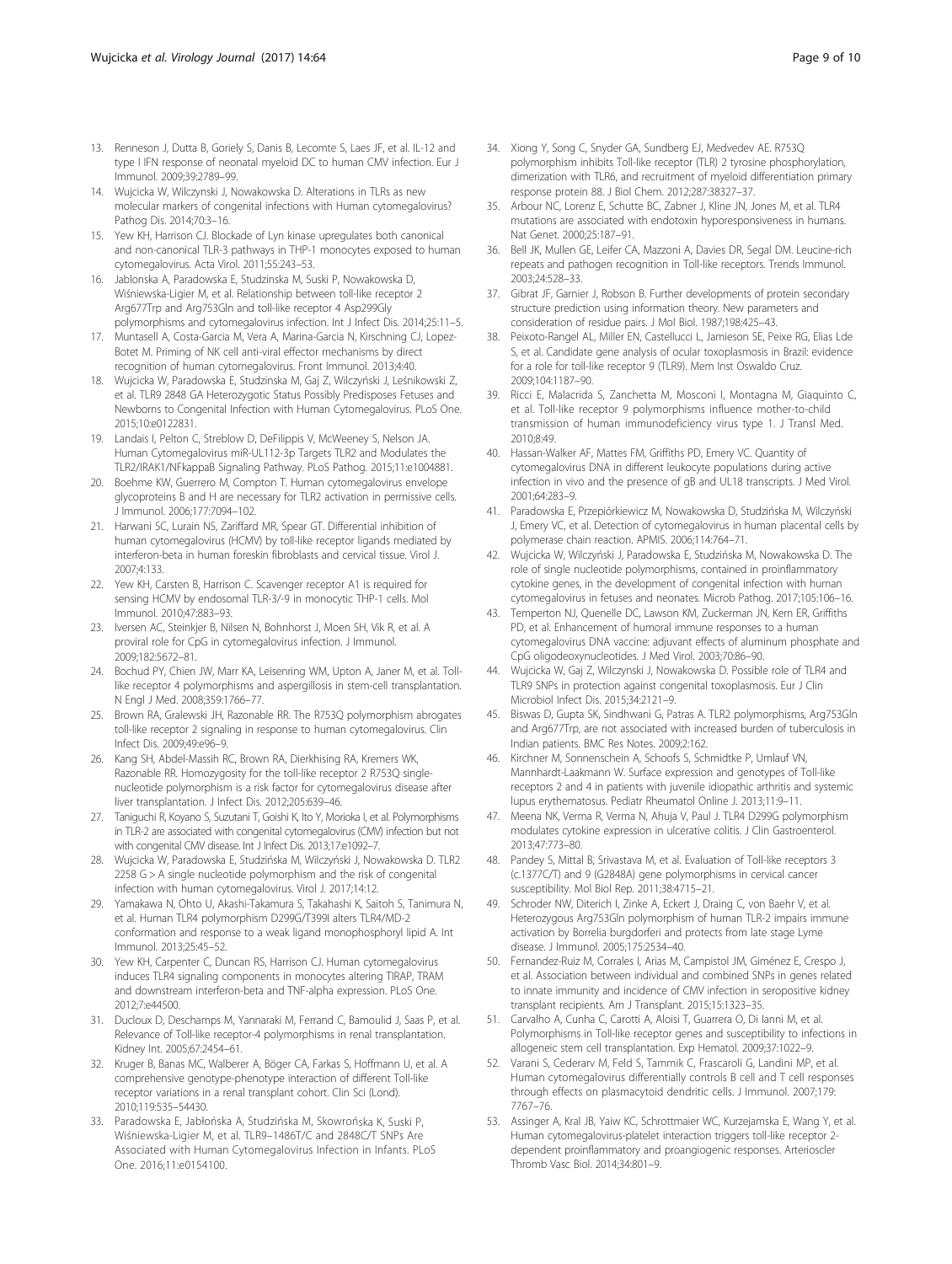- <span id="page-8-0"></span>13. Renneson J, Dutta B, Goriely S, Danis B, Lecomte S, Laes JF, et al. IL-12 and type I IFN response of neonatal myeloid DC to human CMV infection. Eur J Immunol. 2009;39:2789–99.
- 14. Wujcicka W, Wilczynski J, Nowakowska D. Alterations in TLRs as new molecular markers of congenital infections with Human cytomegalovirus? Pathog Dis. 2014;70:3–16.
- 15. Yew KH, Harrison CJ. Blockade of Lyn kinase upregulates both canonical and non-canonical TLR-3 pathways in THP-1 monocytes exposed to human cytomegalovirus. Acta Virol. 2011;55:243–53.
- 16. Jablonska A, Paradowska E, Studzinska M, Suski P, Nowakowska D, Wiśniewska-Ligier M, et al. Relationship between toll-like receptor 2 Arg677Trp and Arg753Gln and toll-like receptor 4 Asp299Gly polymorphisms and cytomegalovirus infection. Int J Infect Dis. 2014;25:11–5.
- 17. Muntasell A, Costa-Garcia M, Vera A, Marina-Garcia N, Kirschning CJ, Lopez-Botet M. Priming of NK cell anti-viral effector mechanisms by direct recognition of human cytomegalovirus. Front Immunol. 2013;4:40.
- 18. Wujcicka W, Paradowska E, Studzinska M, Gaj Z, Wilczyński J, Leśnikowski Z, et al. TLR9 2848 GA Heterozygotic Status Possibly Predisposes Fetuses and Newborns to Congenital Infection with Human Cytomegalovirus. PLoS One. 2015;10:e0122831.
- 19. Landais I, Pelton C, Streblow D, DeFilippis V, McWeeney S, Nelson JA. Human Cytomegalovirus miR-UL112-3p Targets TLR2 and Modulates the TLR2/IRAK1/NFkappaB Signaling Pathway. PLoS Pathog. 2015;11:e1004881.
- 20. Boehme KW, Guerrero M, Compton T. Human cytomegalovirus envelope glycoproteins B and H are necessary for TLR2 activation in permissive cells. J Immunol. 2006;177:7094–102.
- 21. Harwani SC, Lurain NS, Zariffard MR, Spear GT. Differential inhibition of human cytomegalovirus (HCMV) by toll-like receptor ligands mediated by interferon-beta in human foreskin fibroblasts and cervical tissue. Virol J. 2007;4:133.
- 22. Yew KH, Carsten B, Harrison C. Scavenger receptor A1 is required for sensing HCMV by endosomal TLR-3/-9 in monocytic THP-1 cells. Mol Immunol. 2010;47:883–93.
- 23. Iversen AC, Steinkjer B, Nilsen N, Bohnhorst J, Moen SH, Vik R, et al. A proviral role for CpG in cytomegalovirus infection. J Immunol. 2009;182:5672–81.
- 24. Bochud PY, Chien JW, Marr KA, Leisenring WM, Upton A, Janer M, et al. Tolllike receptor 4 polymorphisms and aspergillosis in stem-cell transplantation. N Engl J Med. 2008;359:1766–77.
- 25. Brown RA, Gralewski JH, Razonable RR. The R753Q polymorphism abrogates toll-like receptor 2 signaling in response to human cytomegalovirus. Clin Infect Dis. 2009;49:e96–9.
- 26. Kang SH, Abdel-Massih RC, Brown RA, Dierkhising RA, Kremers WK, Razonable RR. Homozygosity for the toll-like receptor 2 R753Q singlenucleotide polymorphism is a risk factor for cytomegalovirus disease after liver transplantation. J Infect Dis. 2012;205:639–46.
- 27. Taniguchi R, Koyano S, Suzutani T, Goishi K, Ito Y, Morioka I, et al. Polymorphisms in TLR-2 are associated with congenital cytomegalovirus (CMV) infection but not with congenital CMV disease. Int J Infect Dis. 2013;17:e1092–7.
- 28. Wujcicka W, Paradowska E, Studzińska M, Wilczyński J, Nowakowska D. TLR2 2258 G > A single nucleotide polymorphism and the risk of congenital infection with human cytomegalovirus. Virol J. 2017;14:12.
- 29. Yamakawa N, Ohto U, Akashi-Takamura S, Takahashi K, Saitoh S, Tanimura N, et al. Human TLR4 polymorphism D299G/T399I alters TLR4/MD-2 conformation and response to a weak ligand monophosphoryl lipid A. Int Immunol. 2013;25:45–52.
- 30. Yew KH, Carpenter C, Duncan RS, Harrison CJ. Human cytomegalovirus induces TLR4 signaling components in monocytes altering TIRAP, TRAM and downstream interferon-beta and TNF-alpha expression. PLoS One. 2012;7:e44500.
- 31. Ducloux D, Deschamps M, Yannaraki M, Ferrand C, Bamoulid J, Saas P, et al. Relevance of Toll-like receptor-4 polymorphisms in renal transplantation. Kidney Int. 2005;67:2454–61.
- 32. Kruger B, Banas MC, Walberer A, Böger CA, Farkas S, Hoffmann U, et al. A comprehensive genotype-phenotype interaction of different Toll-like receptor variations in a renal transplant cohort. Clin Sci (Lond). 2010;119:535–54430.
- 33. Paradowska E, Jabłońska A, Studzińska M, Skowrońska K, Suski P, Wiśniewska-Ligier M, et al. TLR9–1486T/C and 2848C/T SNPs Are Associated with Human Cytomegalovirus Infection in Infants. PLoS One. 2016;11:e0154100.
- 34. Xiong Y, Song C, Snyder GA, Sundberg EJ, Medvedev AE. R753Q polymorphism inhibits Toll-like receptor (TLR) 2 tyrosine phosphorylation, dimerization with TLR6, and recruitment of myeloid differentiation primary response protein 88. J Biol Chem. 2012;287:38327–37.
- 35. Arbour NC, Lorenz E, Schutte BC, Zabner J, Kline JN, Jones M, et al. TLR4 mutations are associated with endotoxin hyporesponsiveness in humans. Nat Genet. 2000;25:187–91.
- 36. Bell JK, Mullen GE, Leifer CA, Mazzoni A, Davies DR, Segal DM. Leucine-rich repeats and pathogen recognition in Toll-like receptors. Trends Immunol. 2003;24:528–33.
- 37. Gibrat JF, Garnier J, Robson B. Further developments of protein secondary structure prediction using information theory. New parameters and consideration of residue pairs. J Mol Biol. 1987;198:425–43.
- 38. Peixoto-Rangel AL, Miller EN, Castellucci L, Jamieson SE, Peixe RG, Elias Lde S, et al. Candidate gene analysis of ocular toxoplasmosis in Brazil: evidence for a role for toll-like receptor 9 (TLR9). Mem Inst Oswaldo Cruz. 2009;104:1187–90.
- 39. Ricci E, Malacrida S, Zanchetta M, Mosconi I, Montagna M, Giaquinto C, et al. Toll-like receptor 9 polymorphisms influence mother-to-child transmission of human immunodeficiency virus type 1. J Transl Med. 2010;8:49.
- 40. Hassan-Walker AF, Mattes FM, Griffiths PD, Emery VC. Quantity of cytomegalovirus DNA in different leukocyte populations during active infection in vivo and the presence of gB and UL18 transcripts. J Med Virol. 2001;64:283–9.
- 41. Paradowska E, Przepiórkiewicz M, Nowakowska D, Studzińska M, Wilczyński J, Emery VC, et al. Detection of cytomegalovirus in human placental cells by polymerase chain reaction. APMIS. 2006;114:764–71.
- 42. Wujcicka W, Wilczyński J, Paradowska E, Studzińska M, Nowakowska D. The role of single nucleotide polymorphisms, contained in proinflammatory cytokine genes, in the development of congenital infection with human cytomegalovirus in fetuses and neonates. Microb Pathog. 2017;105:106–16.
- 43. Temperton NJ, Quenelle DC, Lawson KM, Zuckerman JN, Kern ER, Griffiths PD, et al. Enhancement of humoral immune responses to a human cytomegalovirus DNA vaccine: adjuvant effects of aluminum phosphate and CpG oligodeoxynucleotides. J Med Virol. 2003;70:86–90.
- 44. Wujcicka W, Gaj Z, Wilczynski J, Nowakowska D. Possible role of TLR4 and TLR9 SNPs in protection against congenital toxoplasmosis. Eur J Clin Microbiol Infect Dis. 2015;34:2121–9.
- 45. Biswas D, Gupta SK, Sindhwani G, Patras A. TLR2 polymorphisms, Arg753Gln and Arg677Trp, are not associated with increased burden of tuberculosis in Indian patients. BMC Res Notes. 2009;2:162.
- 46. Kirchner M, Sonnenschein A, Schoofs S, Schmidtke P, Umlauf VN, Mannhardt-Laakmann W. Surface expression and genotypes of Toll-like receptors 2 and 4 in patients with juvenile idiopathic arthritis and systemic lupus erythematosus. Pediatr Rheumatol Online J. 2013;11:9–11.
- 47. Meena NK, Verma R, Verma N, Ahuja V, Paul J. TLR4 D299G polymorphism modulates cytokine expression in ulcerative colitis. J Clin Gastroenterol. 2013;47:773–80.
- 48. Pandey S, Mittal B, Srivastava M, et al. Evaluation of Toll-like receptors 3 (c.1377C/T) and 9 (G2848A) gene polymorphisms in cervical cancer susceptibility. Mol Biol Rep. 2011;38:4715–21.
- 49. Schroder NW, Diterich I, Zinke A, Eckert J, Draing C, von Baehr V, et al. Heterozygous Arg753Gln polymorphism of human TLR-2 impairs immune activation by Borrelia burgdorferi and protects from late stage Lyme disease. J Immunol. 2005;175:2534–40.
- 50. Fernandez-Ruiz M, Corrales I, Arias M, Campistol JM, Giménez E, Crespo J, et al. Association between individual and combined SNPs in genes related to innate immunity and incidence of CMV infection in seropositive kidney transplant recipients. Am J Transplant. 2015;15:1323–35.
- 51. Carvalho A, Cunha C, Carotti A, Aloisi T, Guarrera O, Di Ianni M, et al. Polymorphisms in Toll-like receptor genes and susceptibility to infections in allogeneic stem cell transplantation. Exp Hematol. 2009;37:1022–9.
- 52. Varani S, Cederarv M, Feld S, Tammik C, Frascaroli G, Landini MP, et al. Human cytomegalovirus differentially controls B cell and T cell responses through effects on plasmacytoid dendritic cells. J Immunol. 2007;179: 7767–76.
- 53. Assinger A, Kral JB, Yaiw KC, Schrottmaier WC, Kurzejamska E, Wang Y, et al. Human cytomegalovirus-platelet interaction triggers toll-like receptor 2 dependent proinflammatory and proangiogenic responses. Arterioscler Thromb Vasc Biol. 2014;34:801–9.